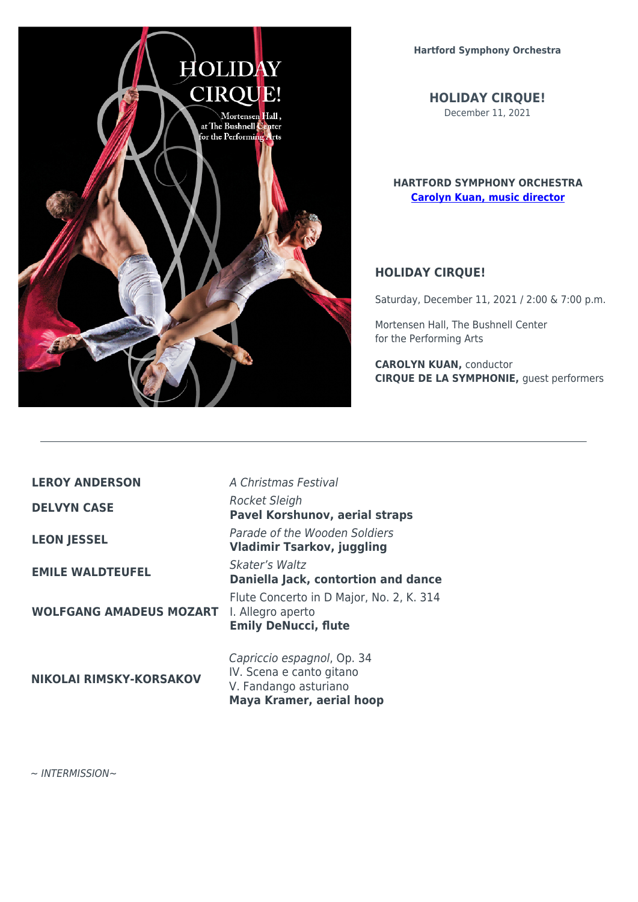

**HOLIDAY CIRQUE!** December 11, 2021

## **HARTFORD SYMPHONY ORCHESTRA [Carolyn Kuan, music director](https://audienceaccess.co/bio/HRT-3804)**

## **HOLIDAY CIRQUE!**

Saturday, December 11, 2021 / 2:00 & 7:00 p.m.

Mortensen Hall, The Bushnell Center for the Performing Arts

**CAROLYN KUAN,** conductor **CIRQUE DE LA SYMPHONIE,** guest performers

**LEROY ANDERSON** A Christmas Festival

**WOLFGANG AMADEUS MOZART**

**NIKOLAI RIMSKY-KORSAKOV**

**DELVYN CASE** Rocket Sleigh **Pavel Korshunov, aerial straps LEON JESSEL** Parade of the Wooden Soldiers **Vladimir Tsarkov, juggling EMILE WALDTEUFEL** Skater's Waltz **Daniella Jack, contortion and dance** Flute Concerto in D Major, No. 2, K. 314 I. Allegro aperto **Emily DeNucci, flute**

> Capriccio espagnol, Op. 34 IV. Scena e canto gitano V. Fandango asturiano **Maya Kramer, aerial hoop**

∼ INTERMISSION∼